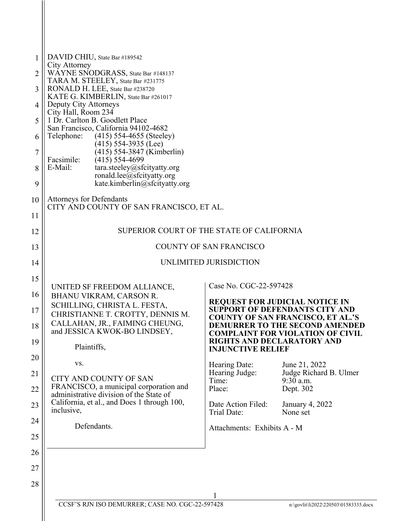| $\mathbf{1}$   | DAVID CHIU, State Bar #189542                                                          |                                                               |                                                                                  |  |
|----------------|----------------------------------------------------------------------------------------|---------------------------------------------------------------|----------------------------------------------------------------------------------|--|
| $\overline{2}$ | City Attorney<br>WAYNE SNODGRASS, State Bar #148137                                    |                                                               |                                                                                  |  |
| 3              | TARA M. STEELEY, State Bar #231775<br>RONALD H. LEE, State Bar #238720                 |                                                               |                                                                                  |  |
|                | KATE G. KIMBERLIN, State Bar #261017                                                   |                                                               |                                                                                  |  |
| $\overline{4}$ | Deputy City Attorneys<br>City Hall, Room 234                                           |                                                               |                                                                                  |  |
| 5              | 1 Dr. Carlton B. Goodlett Place<br>San Francisco, California 94102-4682                |                                                               |                                                                                  |  |
| 6              | Telephone:<br>$(415)$ 554-4655 (Steeley)                                               |                                                               |                                                                                  |  |
| $\overline{7}$ | $(415)$ 554-3935 (Lee)<br>(415) 554-3847 (Kimberlin)                                   |                                                               |                                                                                  |  |
| 8              | Facsimile:<br>$(415)$ 554-4699<br>E-Mail:<br>tara.steeley@sfcityatty.org               |                                                               |                                                                                  |  |
|                | ronald.lee@sfcityatty.org                                                              |                                                               |                                                                                  |  |
| 9              | kate.kimberlin@sfcityatty.org                                                          |                                                               |                                                                                  |  |
| 10             | <b>Attorneys for Defendants</b><br>CITY AND COUNTY OF SAN FRANCISCO, ET AL.            |                                                               |                                                                                  |  |
| 11             |                                                                                        |                                                               |                                                                                  |  |
| 12             | SUPERIOR COURT OF THE STATE OF CALIFORNIA                                              |                                                               |                                                                                  |  |
| 13             | COUNTY OF SAN FRANCISCO                                                                |                                                               |                                                                                  |  |
| 14             | UNLIMITED JURISDICTION                                                                 |                                                               |                                                                                  |  |
| 15             |                                                                                        |                                                               |                                                                                  |  |
| 16             | UNITED SF FREEDOM ALLIANCE,<br>BHANU VIKRAM, CARSON R.                                 | Case No. CGC-22-597428                                        |                                                                                  |  |
| 17             | SCHILLING, CHRISTA L. FESTA,                                                           |                                                               | <b>REQUEST FOR JUDICIAL NOTICE IN</b><br><b>SUPPORT OF DEFENDANTS CITY AND</b>   |  |
|                | CHRISTIANNE T. CROTTY, DENNIS M.<br>CALLAHAN, JR., FAIMING CHEUNG,                     |                                                               | <b>COUNTY OF SAN FRANCISCO, ET AL.'S</b>                                         |  |
| 18             | and JESSICA KWOK-BO LINDSEY,                                                           |                                                               | <b>DEMURRER TO THE SECOND AMENDED</b><br><b>COMPLAINT FOR VIOLATION OF CIVIL</b> |  |
| 19             | Plaintiffs,                                                                            | <b>RIGHTS AND DECLARATORY AND</b><br><b>INJUNCTIVE RELIEF</b> |                                                                                  |  |
| 20             |                                                                                        |                                                               |                                                                                  |  |
| 21             | VS.                                                                                    | Hearing Date:<br>Hearing Judge:                               | June 21, 2022<br>Judge Richard B. Ulmer                                          |  |
| 22             | CITY AND COUNTY OF SAN<br>FRANCISCO, a municipal corporation and                       | Time:<br>Place:                                               | $9:30$ a.m.<br>Dept. 302                                                         |  |
|                | administrative division of the State of<br>California, et al., and Does 1 through 100, |                                                               |                                                                                  |  |
| 23             | inclusive,                                                                             | Date Action Filed:<br>Trial Date:                             | January 4, 2022<br>None set                                                      |  |
| 24             | Defendants.                                                                            | Attachments: Exhibits A - M                                   |                                                                                  |  |
| 25             |                                                                                        |                                                               |                                                                                  |  |
| 26             |                                                                                        |                                                               |                                                                                  |  |
| 27             |                                                                                        |                                                               |                                                                                  |  |
| 28             |                                                                                        |                                                               |                                                                                  |  |
|                |                                                                                        |                                                               |                                                                                  |  |
|                | CCSF'S RJN ISO DEMURRER; CASE NO. CGC-22-597428<br>n:\govlit\li2022\220503\01583335.do |                                                               |                                                                                  |  |
|                |                                                                                        |                                                               |                                                                                  |  |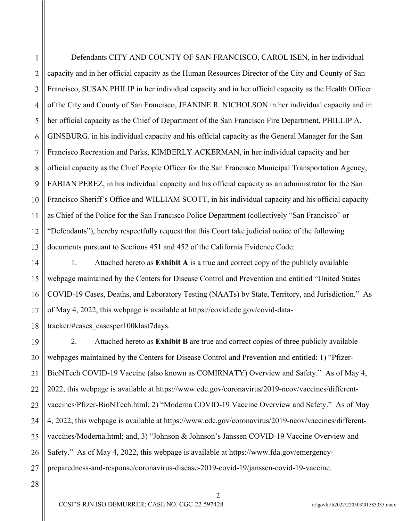1

Defendants CITY AND COUNTY OF SAN FRANCISCO, CAROL ISEN, in her individual capacity and in her official capacity as the Human Resources Director of the City and County of San Francisco, SUSAN PHILIP in her individual capacity and in her official capacity as the Health Officer of the City and County of San Francisco, JEANINE R. NICHOLSON in her individual capacity and in her official capacity as the Chief of Department of the San Francisco Fire Department, PHILLIP A. GINSBURG. in his individual capacity and his official capacity as the General Manager for the San Francisco Recreation and Parks, KIMBERLY ACKERMAN, in her individual capacity and her official capacity as the Chief People Officer for the San Francisco Municipal Transportation Agency, FABIAN PEREZ, in his individual capacity and his official capacity as an administrator for the San Francisco Sheriff's Office and WILLIAM SCOTT, in his individual capacity and his official capacity as Chief of the Police for the San Francisco Police Department (collectively "San Francisco" or "Defendants"), hereby respectfully request that this Court take judicial notice of the following documents pursuant to Sections 451 and 452 of the California Evidence Code:

1. Attached hereto as **Exhibit A** is a true and correct copy of the publicly available webpage maintained by the Centers for Disease Control and Prevention and entitled "United States COVID-19 Cases, Deaths, and Laboratory Testing (NAATs) by State, Territory, and Jurisdiction." As of May 4, 2022, this webpage is available at https://covid.cdc.gov/covid-datatracker/#cases\_casesper100klast7days.

2. Attached hereto as **Exhibit B** are true and correct copies of three publicly available webpages maintained by the Centers for Disease Control and Prevention and entitled: 1) "Pfizer-BioNTech COVID-19 Vaccine (also known as COMIRNATY) Overview and Safety." As of May 4, 2022, this webpage is available at https://www.cdc.gov/coronavirus/2019-ncov/vaccines/differentvaccines/Pfizer-BioNTech.html; 2) "Moderna COVID-19 Vaccine Overview and Safety." As of May 4, 2022, this webpage is available at https://www.cdc.gov/coronavirus/2019-ncov/vaccines/differentvaccines/Moderna.html; and, 3) "Johnson & Johnson's Janssen COVID-19 Vaccine Overview and Safety." As of May 4, 2022, this webpage is available at https://www.fda.gov/emergencypreparedness-and-response/coronavirus-disease-2019-covid-19/janssen-covid-19-vaccine.

28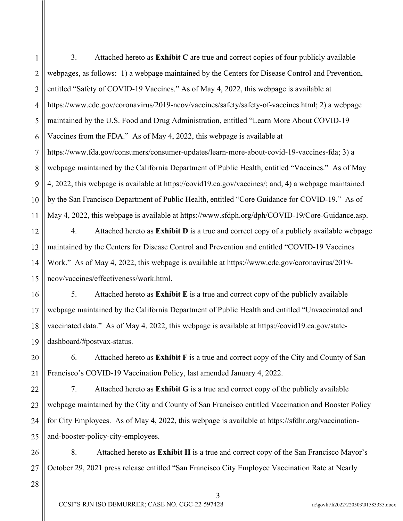1 2 3 4 5 6 7 8 9 10 11 3. Attached hereto as **Exhibit C** are true and correct copies of four publicly available webpages, as follows: 1) a webpage maintained by the Centers for Disease Control and Prevention, entitled "Safety of COVID-19 Vaccines." As of May 4, 2022, this webpage is available at https://www.cdc.gov/coronavirus/2019-ncov/vaccines/safety/safety-of-vaccines.html; 2) a webpage maintained by the U.S. Food and Drug Administration, entitled "Learn More About COVID-19 Vaccines from the FDA." As of May 4, 2022, this webpage is available at https://www.fda.gov/consumers/consumer-updates/learn-more-about-covid-19-vaccines-fda; 3) a webpage maintained by the California Department of Public Health, entitled "Vaccines." As of May 4, 2022, this webpage is available at https://covid19.ca.gov/vaccines/; and, 4) a webpage maintained by the San Francisco Department of Public Health, entitled "Core Guidance for COVID-19." As of May 4, 2022, this webpage is available at https://www.sfdph.org/dph/COVID-19/Core-Guidance.asp.

12 13 14 15 4. Attached hereto as **Exhibit D** is a true and correct copy of a publicly available webpage maintained by the Centers for Disease Control and Prevention and entitled "COVID-19 Vaccines Work." As of May 4, 2022, this webpage is available at https://www.cdc.gov/coronavirus/2019 ncov/vaccines/effectiveness/work.html.

16 18 19 5. Attached hereto as **Exhibit E** is a true and correct copy of the publicly available webpage maintained by the California Department of Public Health and entitled "Unvaccinated and vaccinated data." As of May 4, 2022, this webpage is available at https://covid19.ca.gov/statedashboard/#postvax-status.

6. Attached hereto as **Exhibit F** is a true and correct copy of the City and County of San Francisco's COVID-19 Vaccination Policy, last amended January 4, 2022.

7. Attached hereto as **Exhibit G** is a true and correct copy of the publicly available webpage maintained by the City and County of San Francisco entitled Vaccination and Booster Policy for City Employees. As of May 4, 2022, this webpage is available at https://sfdhr.org/vaccinationand-booster-policy-city-employees.

26 27 8. Attached hereto as **Exhibit H** is a true and correct copy of the San Francisco Mayor's October 29, 2021 press release entitled "San Francisco City Employee Vaccination Rate at Nearly

28

17

20

21

22

23

24

25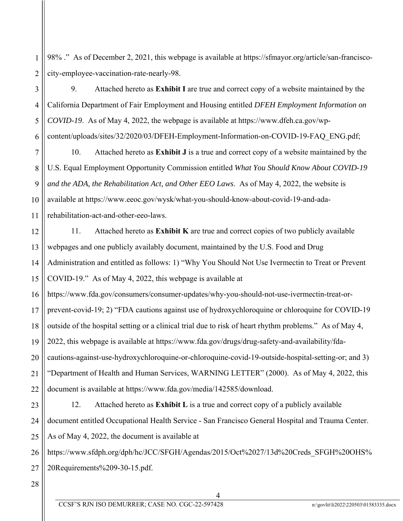2 98% ." As of December 2, 2021, this webpage is available at https://sfmayor.org/article/san-franciscocity-employee-vaccination-rate-nearly-98.

6 9. Attached hereto as **Exhibit I** are true and correct copy of a website maintained by the California Department of Fair Employment and Housing entitled *DFEH Employment Information on COVID-19*. As of May 4, 2022, the webpage is available at https://www.dfeh.ca.gov/wpcontent/uploads/sites/32/2020/03/DFEH-Employment-Information-on-COVID-19-FAQ\_ENG.pdf;

7 8 9 10 11 10. Attached hereto as **Exhibit J** is a true and correct copy of a website maintained by the U.S. Equal Employment Opportunity Commission entitled *What You Should Know About COVID-19 and the ADA, the Rehabilitation Act, and Other EEO Laws*. As of May 4, 2022, the website is available at https://www.eeoc.gov/wysk/what-you-should-know-about-covid-19-and-adarehabilitation-act-and-other-eeo-laws.

12 13 14 15 11. Attached hereto as **Exhibit K** are true and correct copies of two publicly available webpages and one publicly availably document, maintained by the U.S. Food and Drug Administration and entitled as follows: 1) "Why You Should Not Use Ivermectin to Treat or Prevent COVID-19." As of May 4, 2022, this webpage is available at

16 17 18 19 20 21 22 https://www.fda.gov/consumers/consumer-updates/why-you-should-not-use-ivermectin-treat-orprevent-covid-19; 2) "FDA cautions against use of hydroxychloroquine or chloroquine for COVID-19 outside of the hospital setting or a clinical trial due to risk of heart rhythm problems." As of May 4, 2022, this webpage is available at https://www.fda.gov/drugs/drug-safety-and-availability/fdacautions-against-use-hydroxychloroquine-or-chloroquine-covid-19-outside-hospital-setting-or; and 3) "Department of Health and Human Services, WARNING LETTER" (2000). As of May 4, 2022, this document is available at https://www.fda.gov/media/142585/download.

23 24 25 12. Attached hereto as **Exhibit L** is a true and correct copy of a publicly available document entitled Occupational Health Service - San Francisco General Hospital and Trauma Center. As of May 4, 2022, the document is available at

26 27 https://www.sfdph.org/dph/hc/JCC/SFGH/Agendas/2015/Oct%2027/13d%20Creds\_SFGH%20OHS% 20Requirements%209-30-15.pdf.

28

1

3

4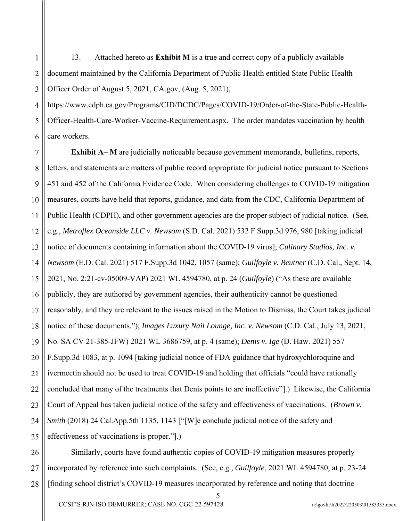1 2 3 13. Attached hereto as **Exhibit M** is a true and correct copy of a publicly available document maintained by the California Department of Public Health entitled State Public Health Officer Order of August 5, 2021, CA.gov, (Aug. 5, 2021),

4 5 6 https://www.cdph.ca.gov/Programs/CID/DCDC/Pages/COVID-19/Order-of-the-State-Public-Health-Officer-Health-Care-Worker-Vaccine-Requirement.aspx. The order mandates vaccination by health care workers.

7 8 9 10 11 12 13 14 15 16 17 18 19 20 21 22 23 24 25 **Exhibit A– M** are judicially noticeable because government memoranda, bulletins, reports, letters, and statements are matters of public record appropriate for judicial notice pursuant to Sections 451 and 452 of the California Evidence Code. When considering challenges to COVID-19 mitigation measures, courts have held that reports, guidance, and data from the CDC, California Department of Public Health (CDPH), and other government agencies are the proper subject of judicial notice. (See, e.g., *Metroflex Oceanside LLC v. Newsom* (S.D. Cal. 2021) 532 F.Supp.3d 976, 980 [taking judicial notice of documents containing information about the COVID-19 virus]; *Culinary Studios, Inc. v. Newsom* (E.D. Cal. 2021) 517 F.Supp.3d 1042, 1057 (same); *Guilfoyle v. Beutner* (C.D. Cal., Sept. 14, 2021, No. 2:21-cv-05009-VAP) 2021 WL 4594780, at p. 24 (*Guilfoyle*) ("As these are available publicly, they are authored by government agencies, their authenticity cannot be questioned reasonably, and they are relevant to the issues raised in the Motion to Dismiss, the Court takes judicial notice of these documents."); *Images Luxury Nail Lounge, Inc. v. Newsom* (C.D. Cal., July 13, 2021, No. SA CV 21-385-JFW) 2021 WL 3686759, at p. 4 (same); *Denis v. Ige* (D. Haw. 2021) 557 F.Supp.3d 1083, at p. 1094 [taking judicial notice of FDA guidance that hydroxychloroquine and ivermectin should not be used to treat COVID-19 and holding that officials "could have rationally concluded that many of the treatments that Denis points to are ineffective"].) Likewise, the California Court of Appeal has taken judicial notice of the safety and effectiveness of vaccinations. (*Brown v. Smith* (2018) 24 Cal.App.5th 1135, 1143 ["[W]e conclude judicial notice of the safety and effectiveness of vaccinations is proper."].)

26 27 28 Similarly, courts have found authentic copies of COVID-19 mitigation measures properly incorporated by reference into such complaints. (See, e.g., *Guilfoyle*, 2021 WL 4594780, at p. 23-24 [finding school district's COVID-19 measures incorporated by reference and noting that doctrine

CCSF'S RJN ISO DEMURRER; CASE NO. CGC-22-597428 n:\govlit\li2022\220503\01583335.docx